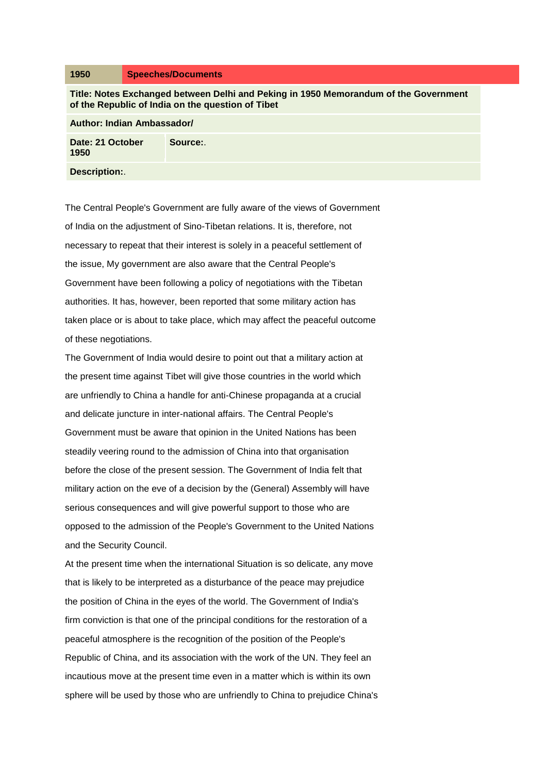| 1950                                                                                                                                      | <b>Speeches/Documents</b> |         |
|-------------------------------------------------------------------------------------------------------------------------------------------|---------------------------|---------|
| Title: Notes Exchanged between Delhi and Peking in 1950 Memorandum of the Government<br>of the Republic of India on the question of Tibet |                           |         |
| Author: Indian Ambassador/                                                                                                                |                           |         |
| Date: 21 October<br>1950                                                                                                                  |                           | Source: |
| <b>Description:.</b>                                                                                                                      |                           |         |

The Central People's Government are fully aware of the views of Government of India on the adjustment of Sino-Tibetan relations. It is, therefore, not necessary to repeat that their interest is solely in a peaceful settlement of the issue, My government are also aware that the Central People's Government have been following a policy of negotiations with the Tibetan authorities. It has, however, been reported that some military action has taken place or is about to take place, which may affect the peaceful outcome of these negotiations.

The Government of India would desire to point out that a military action at the present time against Tibet will give those countries in the world which are unfriendly to China a handle for anti-Chinese propaganda at a crucial and delicate juncture in inter-national affairs. The Central People's Government must be aware that opinion in the United Nations has been steadily veering round to the admission of China into that organisation before the close of the present session. The Government of India felt that military action on the eve of a decision by the (General) Assembly will have serious consequences and will give powerful support to those who are opposed to the admission of the People's Government to the United Nations and the Security Council.

At the present time when the international Situation is so delicate, any move that is likely to be interpreted as a disturbance of the peace may prejudice the position of China in the eyes of the world. The Government of India's firm conviction is that one of the principal conditions for the restoration of a peaceful atmosphere is the recognition of the position of the People's Republic of China, and its association with the work of the UN. They feel an incautious move at the present time even in a matter which is within its own sphere will be used by those who are unfriendly to China to prejudice China's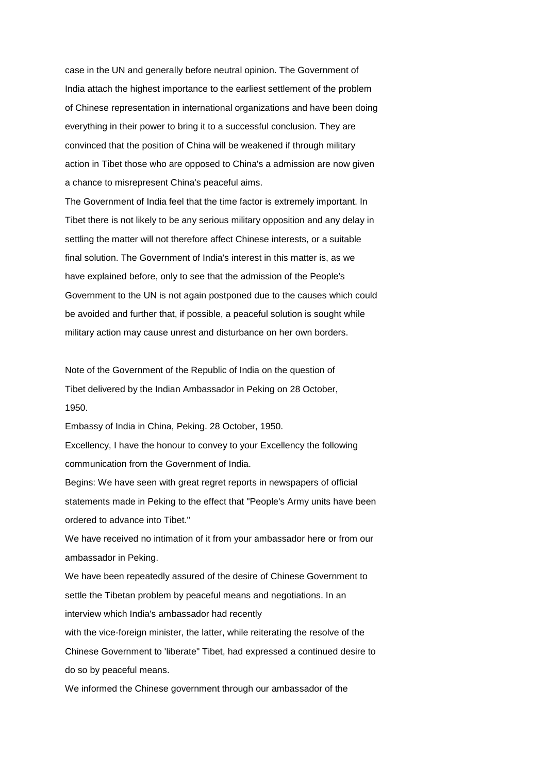case in the UN and generally before neutral opinion. The Government of India attach the highest importance to the earliest settlement of the problem of Chinese representation in international organizations and have been doing everything in their power to bring it to a successful conclusion. They are convinced that the position of China will be weakened if through military action in Tibet those who are opposed to China's a admission are now given a chance to misrepresent China's peaceful aims.

The Government of India feel that the time factor is extremely important. In Tibet there is not likely to be any serious military opposition and any delay in settling the matter will not therefore affect Chinese interests, or a suitable final solution. The Government of India's interest in this matter is, as we have explained before, only to see that the admission of the People's Government to the UN is not again postponed due to the causes which could be avoided and further that, if possible, a peaceful solution is sought while military action may cause unrest and disturbance on her own borders.

Note of the Government of the Republic of India on the question of Tibet delivered by the Indian Ambassador in Peking on 28 October, 1950.

Embassy of India in China, Peking. 28 October, 1950.

Excellency, I have the honour to convey to your Excellency the following communication from the Government of India.

Begins: We have seen with great regret reports in newspapers of official statements made in Peking to the effect that "People's Army units have been ordered to advance into Tibet."

We have received no intimation of it from your ambassador here or from our ambassador in Peking.

We have been repeatedly assured of the desire of Chinese Government to settle the Tibetan problem by peaceful means and negotiations. In an interview which India's ambassador had recently with the vice-foreign minister, the latter, while reiterating the resolve of the

Chinese Government to 'liberate" Tibet, had expressed a continued desire to do so by peaceful means.

We informed the Chinese government through our ambassador of the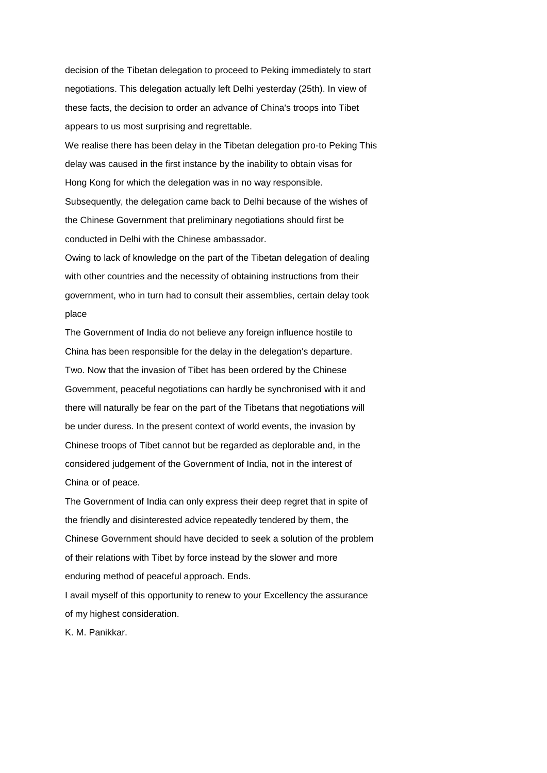decision of the Tibetan delegation to proceed to Peking immediately to start negotiations. This delegation actually left Delhi yesterday (25th). In view of these facts, the decision to order an advance of China's troops into Tibet appears to us most surprising and regrettable.

We realise there has been delay in the Tibetan delegation pro-to Peking This delay was caused in the first instance by the inability to obtain visas for Hong Kong for which the delegation was in no way responsible. Subsequently, the delegation came back to Delhi because of the wishes of the Chinese Government that preliminary negotiations should first be conducted in Delhi with the Chinese ambassador.

Owing to lack of knowledge on the part of the Tibetan delegation of dealing with other countries and the necessity of obtaining instructions from their government, who in turn had to consult their assemblies, certain delay took place

The Government of India do not believe any foreign influence hostile to China has been responsible for the delay in the delegation's departure. Two. Now that the invasion of Tibet has been ordered by the Chinese Government, peaceful negotiations can hardly be synchronised with it and there will naturally be fear on the part of the Tibetans that negotiations will be under duress. In the present context of world events, the invasion by Chinese troops of Tibet cannot but be regarded as deplorable and, in the considered judgement of the Government of India, not in the interest of China or of peace.

The Government of India can only express their deep regret that in spite of the friendly and disinterested advice repeatedly tendered by them, the Chinese Government should have decided to seek a solution of the problem of their relations with Tibet by force instead by the slower and more enduring method of peaceful approach. Ends.

I avail myself of this opportunity to renew to your Excellency the assurance of my highest consideration.

K. M. Panikkar.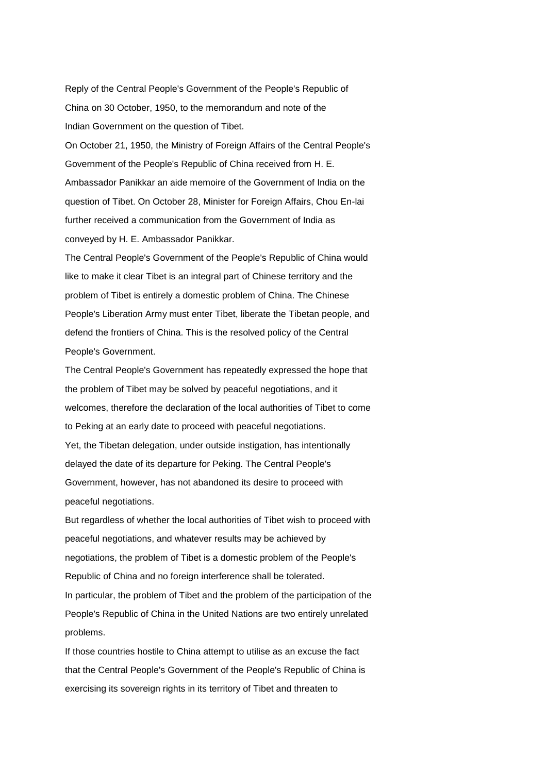Reply of the Central People's Government of the People's Republic of China on 30 October, 1950, to the memorandum and note of the Indian Government on the question of Tibet.

On October 21, 1950, the Ministry of Foreign Affairs of the Central People's Government of the People's Republic of China received from H. E. Ambassador Panikkar an aide memoire of the Government of India on the question of Tibet. On October 28, Minister for Foreign Affairs, Chou En-lai further received a communication from the Government of India as conveyed by H. E. Ambassador Panikkar.

The Central People's Government of the People's Republic of China would like to make it clear Tibet is an integral part of Chinese territory and the problem of Tibet is entirely a domestic problem of China. The Chinese People's Liberation Army must enter Tibet, liberate the Tibetan people, and defend the frontiers of China. This is the resolved policy of the Central People's Government.

The Central People's Government has repeatedly expressed the hope that the problem of Tibet may be solved by peaceful negotiations, and it welcomes, therefore the declaration of the local authorities of Tibet to come to Peking at an early date to proceed with peaceful negotiations. Yet, the Tibetan delegation, under outside instigation, has intentionally delayed the date of its departure for Peking. The Central People's Government, however, has not abandoned its desire to proceed with peaceful negotiations.

But regardless of whether the local authorities of Tibet wish to proceed with peaceful negotiations, and whatever results may be achieved by negotiations, the problem of Tibet is a domestic problem of the People's Republic of China and no foreign interference shall be tolerated. In particular, the problem of Tibet and the problem of the participation of the People's Republic of China in the United Nations are two entirely unrelated problems.

If those countries hostile to China attempt to utilise as an excuse the fact that the Central People's Government of the People's Republic of China is exercising its sovereign rights in its territory of Tibet and threaten to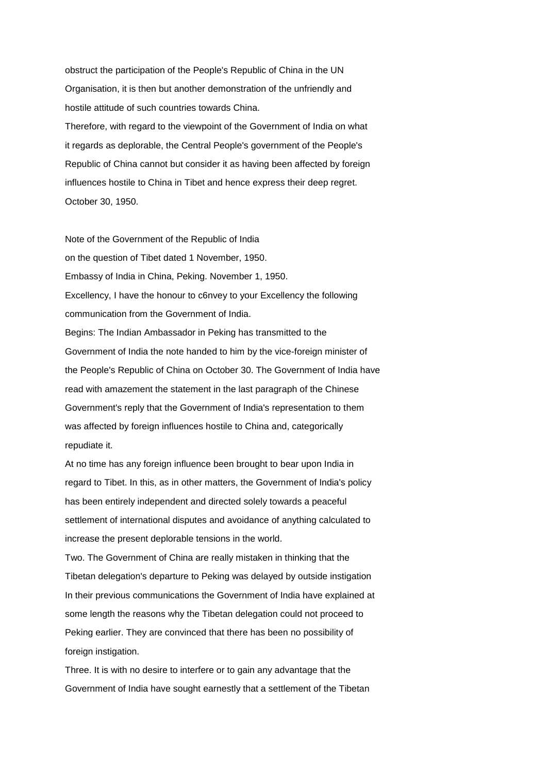obstruct the participation of the People's Republic of China in the UN Organisation, it is then but another demonstration of the unfriendly and hostile attitude of such countries towards China.

Therefore, with regard to the viewpoint of the Government of India on what it regards as deplorable, the Central People's government of the People's Republic of China cannot but consider it as having been affected by foreign influences hostile to China in Tibet and hence express their deep regret. October 30, 1950.

Note of the Government of the Republic of India on the question of Tibet dated 1 November, 1950. Embassy of India in China, Peking. November 1, 1950. Excellency, I have the honour to c6nvey to your Excellency the following communication from the Government of India. Begins: The Indian Ambassador in Peking has transmitted to the Government of India the note handed to him by the vice-foreign minister of the People's Republic of China on October 30. The Government of India have read with amazement the statement in the last paragraph of the Chinese Government's reply that the Government of India's representation to them was affected by foreign influences hostile to China and, categorically repudiate it.

At no time has any foreign influence been brought to bear upon India in regard to Tibet. In this, as in other matters, the Government of India's policy has been entirely independent and directed solely towards a peaceful settlement of international disputes and avoidance of anything calculated to increase the present deplorable tensions in the world.

Two. The Government of China are really mistaken in thinking that the Tibetan delegation's departure to Peking was delayed by outside instigation In their previous communications the Government of India have explained at some length the reasons why the Tibetan delegation could not proceed to Peking earlier. They are convinced that there has been no possibility of foreign instigation.

Three. It is with no desire to interfere or to gain any advantage that the Government of India have sought earnestly that a settlement of the Tibetan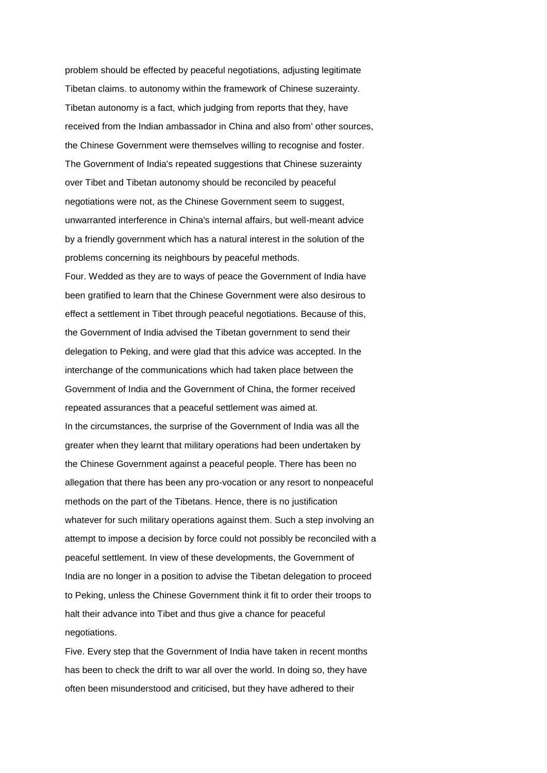problem should be effected by peaceful negotiations, adjusting legitimate Tibetan claims. to autonomy within the framework of Chinese suzerainty. Tibetan autonomy is a fact, which judging from reports that they, have received from the Indian ambassador in China and also from' other sources, the Chinese Government were themselves willing to recognise and foster. The Government of India's repeated suggestions that Chinese suzerainty over Tibet and Tibetan autonomy should be reconciled by peaceful negotiations were not, as the Chinese Government seem to suggest, unwarranted interference in China's internal affairs, but well-meant advice by a friendly government which has a natural interest in the solution of the problems concerning its neighbours by peaceful methods.

Four. Wedded as they are to ways of peace the Government of India have been gratified to learn that the Chinese Government were also desirous to effect a settlement in Tibet through peaceful negotiations. Because of this, the Government of India advised the Tibetan government to send their delegation to Peking, and were glad that this advice was accepted. In the interchange of the communications which had taken place between the Government of India and the Government of China, the former received repeated assurances that a peaceful settlement was aimed at. In the circumstances, the surprise of the Government of India was all the greater when they learnt that military operations had been undertaken by the Chinese Government against a peaceful people. There has been no allegation that there has been any pro-vocation or any resort to nonpeaceful methods on the part of the Tibetans. Hence, there is no justification whatever for such military operations against them. Such a step involving an attempt to impose a decision by force could not possibly be reconciled with a peaceful settlement. In view of these developments, the Government of India are no longer in a position to advise the Tibetan delegation to proceed to Peking, unless the Chinese Government think it fit to order their troops to halt their advance into Tibet and thus give a chance for peaceful negotiations.

Five. Every step that the Government of India have taken in recent months has been to check the drift to war all over the world. In doing so, they have often been misunderstood and criticised, but they have adhered to their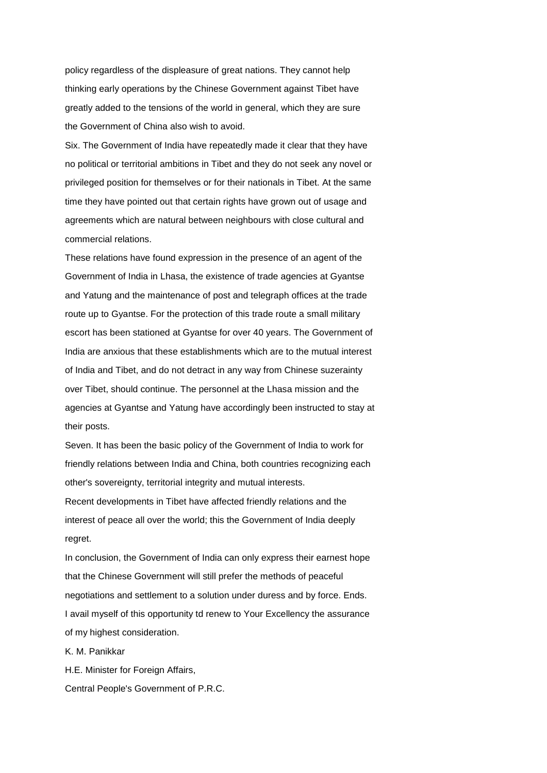policy regardless of the displeasure of great nations. They cannot help thinking early operations by the Chinese Government against Tibet have greatly added to the tensions of the world in general, which they are sure the Government of China also wish to avoid.

Six. The Government of India have repeatedly made it clear that they have no political or territorial ambitions in Tibet and they do not seek any novel or privileged position for themselves or for their nationals in Tibet. At the same time they have pointed out that certain rights have grown out of usage and agreements which are natural between neighbours with close cultural and commercial relations.

These relations have found expression in the presence of an agent of the Government of India in Lhasa, the existence of trade agencies at Gyantse and Yatung and the maintenance of post and telegraph offices at the trade route up to Gyantse. For the protection of this trade route a small military escort has been stationed at Gyantse for over 40 years. The Government of India are anxious that these establishments which are to the mutual interest of India and Tibet, and do not detract in any way from Chinese suzerainty over Tibet, should continue. The personnel at the Lhasa mission and the agencies at Gyantse and Yatung have accordingly been instructed to stay at their posts.

Seven. It has been the basic policy of the Government of India to work for friendly relations between India and China, both countries recognizing each other's sovereignty, territorial integrity and mutual interests. Recent developments in Tibet have affected friendly relations and the interest of peace all over the world; this the Government of India deeply regret.

In conclusion, the Government of India can only express their earnest hope that the Chinese Government will still prefer the methods of peaceful negotiations and settlement to a solution under duress and by force. Ends. I avail myself of this opportunity td renew to Your Excellency the assurance of my highest consideration.

K. M. Panikkar

H.E. Minister for Foreign Affairs, Central People's Government of P.R.C.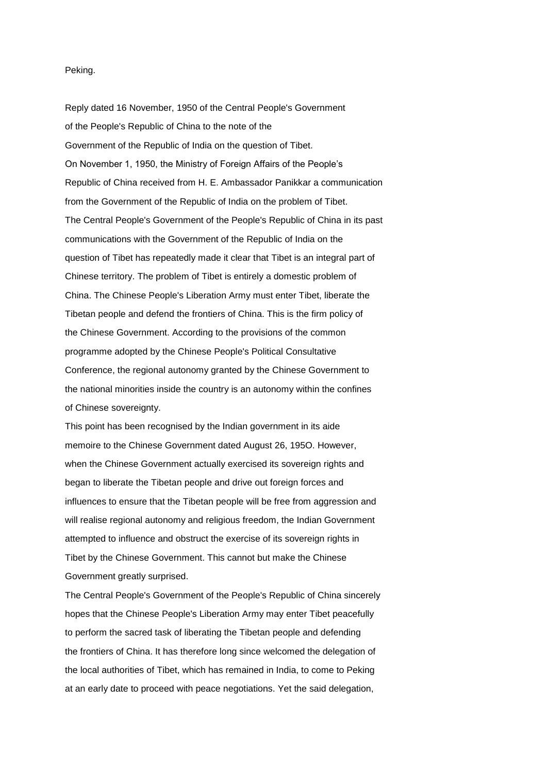## Peking.

Reply dated 16 November, 1950 of the Central People's Government of the People's Republic of China to the note of the Government of the Republic of India on the question of Tibet. On November 1, 1950, the Ministry of Foreign Affairs of the People's Republic of China received from H. E. Ambassador Panikkar a communication from the Government of the Republic of India on the problem of Tibet. The Central People's Government of the People's Republic of China in its past communications with the Government of the Republic of India on the question of Tibet has repeatedly made it clear that Tibet is an integral part of Chinese territory. The problem of Tibet is entirely a domestic problem of China. The Chinese People's Liberation Army must enter Tibet, liberate the Tibetan people and defend the frontiers of China. This is the firm policy of the Chinese Government. According to the provisions of the common programme adopted by the Chinese People's Political Consultative Conference, the regional autonomy granted by the Chinese Government to the national minorities inside the country is an autonomy within the confines of Chinese sovereignty.

This point has been recognised by the Indian government in its aide memoire to the Chinese Government dated August 26, 195O. However, when the Chinese Government actually exercised its sovereign rights and began to liberate the Tibetan people and drive out foreign forces and influences to ensure that the Tibetan people will be free from aggression and will realise regional autonomy and religious freedom, the Indian Government attempted to influence and obstruct the exercise of its sovereign rights in Tibet by the Chinese Government. This cannot but make the Chinese Government greatly surprised.

The Central People's Government of the People's Republic of China sincerely hopes that the Chinese People's Liberation Army may enter Tibet peacefully to perform the sacred task of liberating the Tibetan people and defending the frontiers of China. It has therefore long since welcomed the delegation of the local authorities of Tibet, which has remained in India, to come to Peking at an early date to proceed with peace negotiations. Yet the said delegation,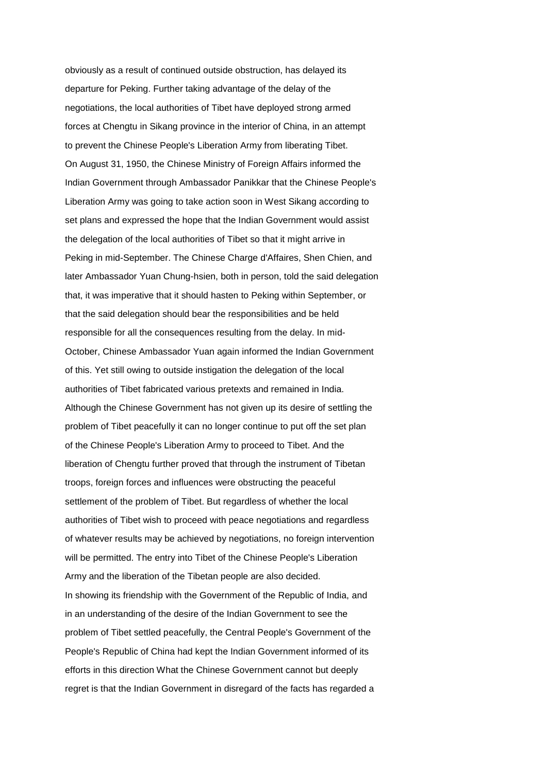obviously as a result of continued outside obstruction, has delayed its departure for Peking. Further taking advantage of the delay of the negotiations, the local authorities of Tibet have deployed strong armed forces at Chengtu in Sikang province in the interior of China, in an attempt to prevent the Chinese People's Liberation Army from liberating Tibet. On August 31, 1950, the Chinese Ministry of Foreign Affairs informed the Indian Government through Ambassador Panikkar that the Chinese People's Liberation Army was going to take action soon in West Sikang according to set plans and expressed the hope that the Indian Government would assist the delegation of the local authorities of Tibet so that it might arrive in Peking in mid-September. The Chinese Charge d'Affaires, Shen Chien, and later Ambassador Yuan Chung-hsien, both in person, told the said delegation that, it was imperative that it should hasten to Peking within September, or that the said delegation should bear the responsibilities and be held responsible for all the consequences resulting from the delay. In mid-October, Chinese Ambassador Yuan again informed the Indian Government of this. Yet still owing to outside instigation the delegation of the local authorities of Tibet fabricated various pretexts and remained in India. Although the Chinese Government has not given up its desire of settling the problem of Tibet peacefully it can no longer continue to put off the set plan of the Chinese People's Liberation Army to proceed to Tibet. And the liberation of Chengtu further proved that through the instrument of Tibetan troops, foreign forces and influences were obstructing the peaceful settlement of the problem of Tibet. But regardless of whether the local authorities of Tibet wish to proceed with peace negotiations and regardless of whatever results may be achieved by negotiations, no foreign intervention will be permitted. The entry into Tibet of the Chinese People's Liberation Army and the liberation of the Tibetan people are also decided. In showing its friendship with the Government of the Republic of India, and in an understanding of the desire of the Indian Government to see the problem of Tibet settled peacefully, the Central People's Government of the People's Republic of China had kept the Indian Government informed of its efforts in this direction What the Chinese Government cannot but deeply regret is that the Indian Government in disregard of the facts has regarded a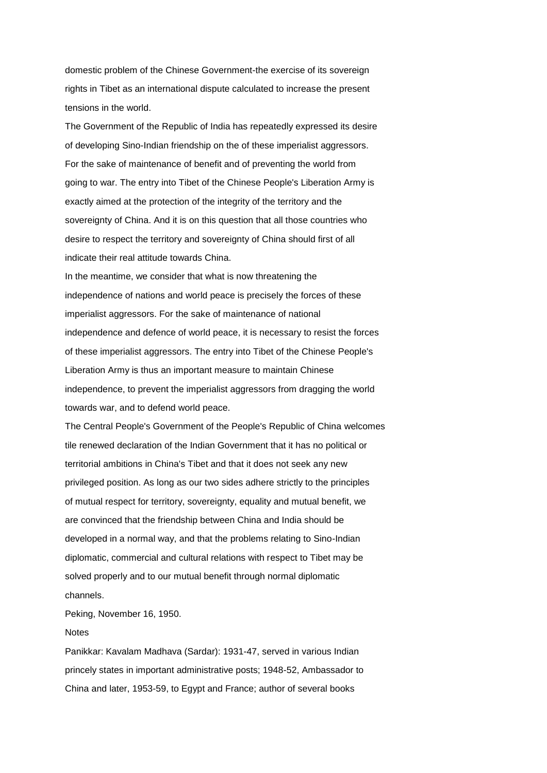domestic problem of the Chinese Government-the exercise of its sovereign rights in Tibet as an international dispute calculated to increase the present tensions in the world.

The Government of the Republic of India has repeatedly expressed its desire of developing Sino-Indian friendship on the of these imperialist aggressors. For the sake of maintenance of benefit and of preventing the world from going to war. The entry into Tibet of the Chinese People's Liberation Army is exactly aimed at the protection of the integrity of the territory and the sovereignty of China. And it is on this question that all those countries who desire to respect the territory and sovereignty of China should first of all indicate their real attitude towards China.

In the meantime, we consider that what is now threatening the independence of nations and world peace is precisely the forces of these imperialist aggressors. For the sake of maintenance of national independence and defence of world peace, it is necessary to resist the forces of these imperialist aggressors. The entry into Tibet of the Chinese People's Liberation Army is thus an important measure to maintain Chinese independence, to prevent the imperialist aggressors from dragging the world towards war, and to defend world peace.

The Central People's Government of the People's Republic of China welcomes tile renewed declaration of the Indian Government that it has no political or territorial ambitions in China's Tibet and that it does not seek any new privileged position. As long as our two sides adhere strictly to the principles of mutual respect for territory, sovereignty, equality and mutual benefit, we are convinced that the friendship between China and India should be developed in a normal way, and that the problems relating to Sino-Indian diplomatic, commercial and cultural relations with respect to Tibet may be solved properly and to our mutual benefit through normal diplomatic channels.

Peking, November 16, 1950.

## **Notes**

Panikkar: Kavalam Madhava (Sardar): 1931-47, served in various Indian princely states in important administrative posts; 1948-52, Ambassador to China and later, 1953-59, to Egypt and France; author of several books